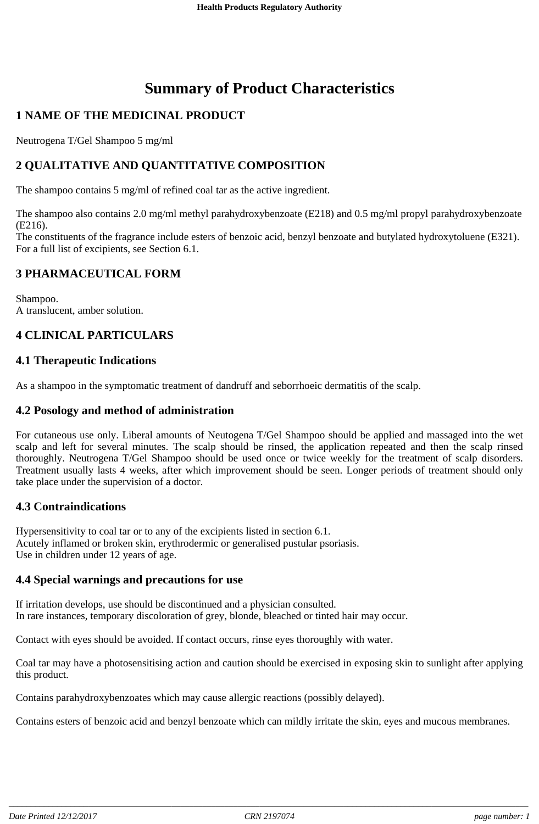# **Summary of Product Characteristics**

# **1 NAME OF THE MEDICINAL PRODUCT**

Neutrogena T/Gel Shampoo 5 mg/ml

# **2 QUALITATIVE AND QUANTITATIVE COMPOSITION**

The shampoo contains 5 mg/ml of refined coal tar as the active ingredient.

The shampoo also contains 2.0 mg/ml methyl parahydroxybenzoate (E218) and 0.5 mg/ml propyl parahydroxybenzoate (E216).

The constituents of the fragrance include esters of benzoic acid, benzyl benzoate and butylated hydroxytoluene (E321). For a full list of excipients, see Section 6.1.

## **3 PHARMACEUTICAL FORM**

Shampoo. A translucent, amber solution.

## **4 CLINICAL PARTICULARS**

## **4.1 Therapeutic Indications**

As a shampoo in the symptomatic treatment of dandruff and seborrhoeic dermatitis of the scalp.

## **4.2 Posology and method of administration**

For cutaneous use only. Liberal amounts of Neutogena T/Gel Shampoo should be applied and massaged into the wet scalp and left for several minutes. The scalp should be rinsed, the application repeated and then the scalp rinsed thoroughly. Neutrogena T/Gel Shampoo should be used once or twice weekly for the treatment of scalp disorders. Treatment usually lasts 4 weeks, after which improvement should be seen. Longer periods of treatment should only take place under the supervision of a doctor.

## **4.3 Contraindications**

Hypersensitivity to coal tar or to any of the excipients listed in section 6.1. Acutely inflamed or broken skin, erythrodermic or generalised pustular psoriasis. Use in children under 12 years of age.

## **4.4 Special warnings and precautions for use**

If irritation develops, use should be discontinued and a physician consulted. In rare instances, temporary discoloration of grey, blonde, bleached or tinted hair may occur.

Contact with eyes should be avoided. If contact occurs, rinse eyes thoroughly with water.

Coal tar may have a photosensitising action and caution should be exercised in exposing skin to sunlight after applying this product.

Contains parahydroxybenzoates which may cause allergic reactions (possibly delayed).

Contains esters of benzoic acid and benzyl benzoate which can mildly irritate the skin, eyes and mucous membranes.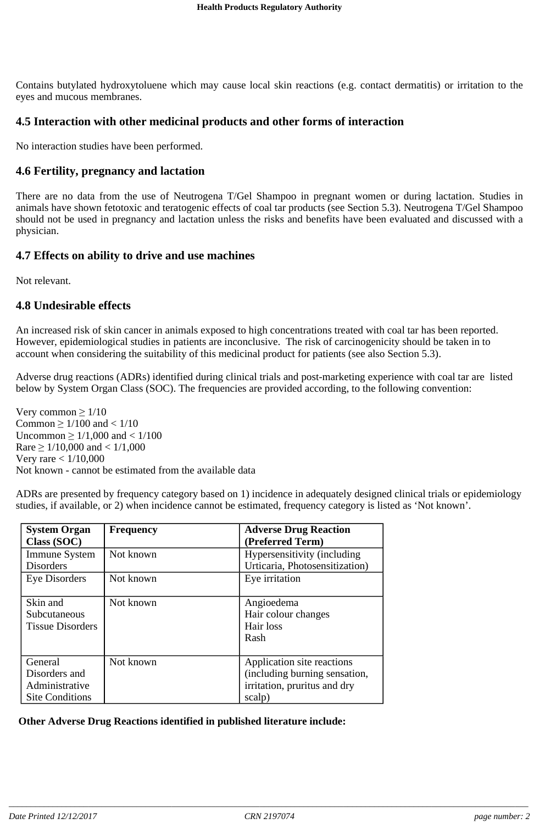Contains butylated hydroxytoluene which may cause local skin reactions (e.g. contact dermatitis) or irritation to the eyes and mucous membranes.

#### **4.5 Interaction with other medicinal products and other forms of interaction**

No interaction studies have been performed.

#### **4.6 Fertility, pregnancy and lactation**

There are no data from the use of Neutrogena T/Gel Shampoo in pregnant women or during lactation. Studies in animals have shown fetotoxic and teratogenic effects of coal tar products (see Section 5.3). Neutrogena T/Gel Shampoo should not be used in pregnancy and lactation unless the risks and benefits have been evaluated and discussed with a physician.

## **4.7 Effects on ability to drive and use machines**

Not relevant.

#### **4.8 Undesirable effects**

An increased risk of skin cancer in animals exposed to high concentrations treated with coal tar has been reported. However, epidemiological studies in patients are inconclusive. The risk of carcinogenicity should be taken in to account when considering the suitability of this medicinal product for patients (see also Section 5.3).

Adverse drug reactions (ADRs) identified during clinical trials and post-marketing experience with coal tar are listed below by System Organ Class (SOC). The frequencies are provided according, to the following convention:

Very common  $\geq 1/10$ Common  $\geq 1/100$  and  $< 1/10$ Uncommon  $\geq 1/1,000$  and  $< 1/100$ Rare  $\geq$  1/10,000 and < 1/1,000 Very rare < 1/10,000 Not known - cannot be estimated from the available data

ADRs are presented by frequency category based on 1) incidence in adequately designed clinical trials or epidemiology studies, if available, or 2) when incidence cannot be estimated, frequency category is listed as 'Not known'.

| <b>System Organ</b><br>Class (SOC) | <b>Frequency</b> | <b>Adverse Drug Reaction</b><br>(Preferred Term) |
|------------------------------------|------------------|--------------------------------------------------|
| <b>Immune System</b>               | Not known        | Hypersensitivity (including                      |
| <b>Disorders</b>                   |                  | Urticaria, Photosensitization)                   |
| Eye Disorders                      | Not known        | Eye irritation                                   |
| Skin and                           | Not known        | Angioedema                                       |
| Subcutaneous                       |                  | Hair colour changes                              |
| <b>Tissue Disorders</b>            |                  | Hair loss                                        |
|                                    |                  | Rash                                             |
| General                            | Not known        | Application site reactions                       |
| Disorders and                      |                  | (including burning sensation,                    |
| Administrative                     |                  | irritation, pruritus and dry                     |
| <b>Site Conditions</b>             |                  | scalp)                                           |

**Other Adverse Drug Reactions identified in published literature include:**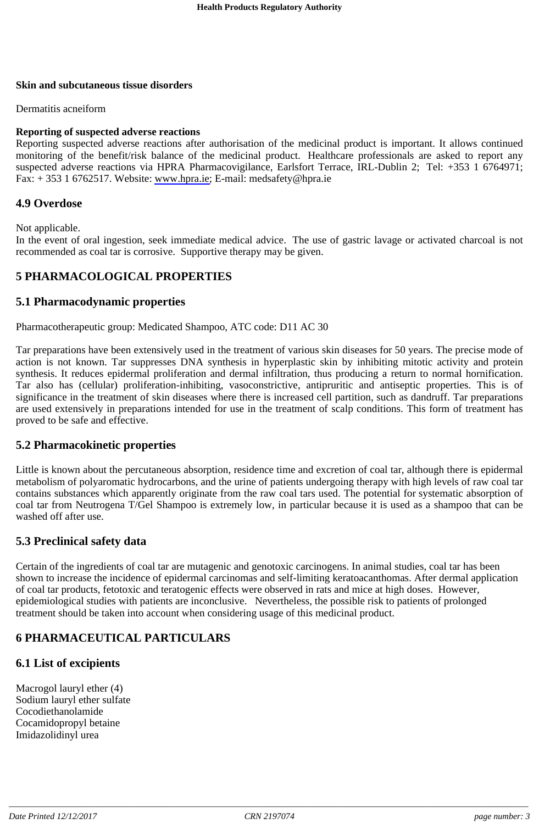#### **Skin and subcutaneous tissue disorders**

Dermatitis acneiform

#### **Reporting of suspected adverse reactions**

Reporting suspected adverse reactions after authorisation of the medicinal product is important. It allows continued monitoring of the benefit/risk balance of the medicinal product. Healthcare professionals are asked to report any suspected adverse reactions via HPRA Pharmacovigilance, Earlsfort Terrace, IRL-Dublin 2; Tel: +353 1 6764971; Fax: + 353 1 6762517. Website: www.hpra.ie; E-mail: medsafety@hpra.ie

## **4.9 Overdose**

Not applicable.

In the event of oral ingestion, seek immediate medical advice. The use of gastric lavage or activated charcoal is not recommended as coal tar is corrosive. Supportive therapy may be given.

## **5 PHARMACOLOGICAL PROPERTIES**

## **5.1 Pharmacodynamic properties**

Pharmacotherapeutic group: Medicated Shampoo, ATC code: D11 AC 30

Tar preparations have been extensively used in the treatment of various skin diseases for 50 years. The precise mode of action is not known. Tar suppresses DNA synthesis in hyperplastic skin by inhibiting mitotic activity and protein synthesis. It reduces epidermal proliferation and dermal infiltration, thus producing a return to normal hornification. Tar also has (cellular) proliferation-inhibiting, vasoconstrictive, antipruritic and antiseptic properties. This is of significance in the treatment of skin diseases where there is increased cell partition, such as dandruff. Tar preparations are used extensively in preparations intended for use in the treatment of scalp conditions. This form of treatment has proved to be safe and effective.

## **5.2 Pharmacokinetic properties**

Little is known about the percutaneous absorption, residence time and excretion of coal tar, although there is epidermal metabolism of polyaromatic hydrocarbons, and the urine of patients undergoing therapy with high levels of raw coal tar contains substances which apparently originate from the raw coal tars used. The potential for systematic absorption of coal tar from Neutrogena T/Gel Shampoo is extremely low, in particular because it is used as a shampoo that can be washed off after use.

## **5.3 Preclinical safety data**

Certain of the ingredients of coal tar are mutagenic and genotoxic carcinogens. In animal studies, coal tar has been shown to increase the incidence of epidermal carcinomas and self-limiting keratoacanthomas. After dermal application of coal tar products, fetotoxic and teratogenic effects were observed in rats and mice at high doses. However, epidemiological studies with patients are inconclusive. Nevertheless, the possible risk to patients of prolonged treatment should be taken into account when considering usage of this medicinal product.

## **6 PHARMACEUTICAL PARTICULARS**

## **6.1 List of excipients**

Macrogol lauryl ether (4) Sodium lauryl ether sulfate Cocodiethanolamide Cocamidopropyl betaine Imidazolidinyl urea